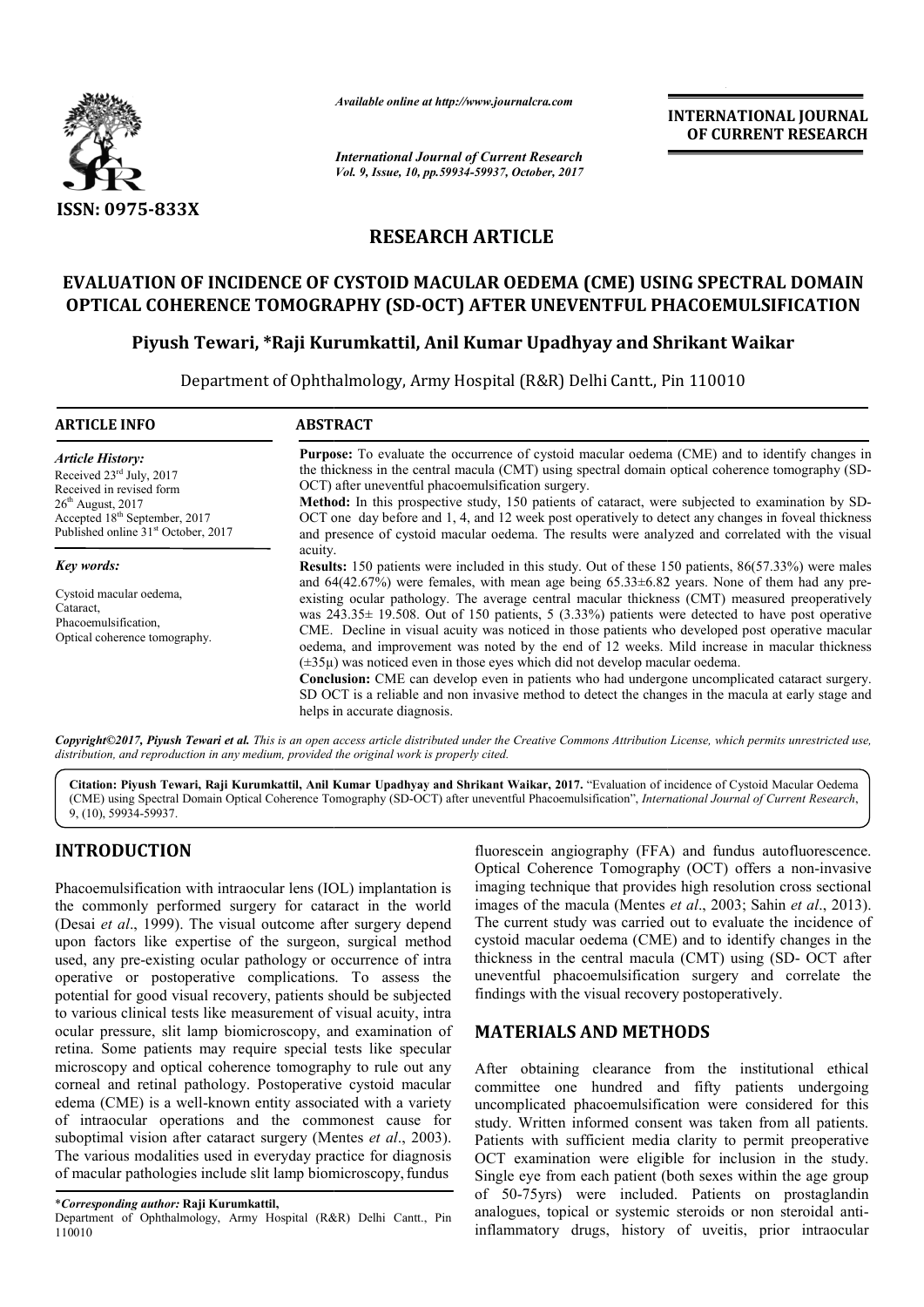

*Available online at http://www.journalcra.com*

# **RESEARCH ARTICLE**

## **EVALUATION OF INCIDENCE OF CYSTOID MACULAR OEDEMA (CME) USING SPECTRAL DOMAIN**  EVALUATION OF INCIDENCE OF CYSTOID MACULAR OEDEMA (CME) USING SPECTRAL DOMAIN<br>OPTICAL COHERENCE TOMOGRAPHY (SD-OCT) AFTER UNEVENTFUL PHACOEMULSIFICATION

### **Piyush Tewari, \*Raji Kurumkattil Raji Kurumkattil, Anil Kumar Upadhyay and Shrikant Waikar**

|                                                                                                                                                                                                                                                                                                                                                                                                                                                                                                                                                                                                    | л гипионе опите ин пир.//www.journancra.com                                                                                                                                                                                                                                                                                                                                                                                                                                                                                                                                                                                                                                                                                                                                                                                                                                                                                                                         |                                                                                    | <b>INTERNATIONAL JOURNAL</b><br>OF CURRENT RESEARCH                                                                                                                                                                                                                                                                                                                                                                                                                                                   |  |
|----------------------------------------------------------------------------------------------------------------------------------------------------------------------------------------------------------------------------------------------------------------------------------------------------------------------------------------------------------------------------------------------------------------------------------------------------------------------------------------------------------------------------------------------------------------------------------------------------|---------------------------------------------------------------------------------------------------------------------------------------------------------------------------------------------------------------------------------------------------------------------------------------------------------------------------------------------------------------------------------------------------------------------------------------------------------------------------------------------------------------------------------------------------------------------------------------------------------------------------------------------------------------------------------------------------------------------------------------------------------------------------------------------------------------------------------------------------------------------------------------------------------------------------------------------------------------------|------------------------------------------------------------------------------------|-------------------------------------------------------------------------------------------------------------------------------------------------------------------------------------------------------------------------------------------------------------------------------------------------------------------------------------------------------------------------------------------------------------------------------------------------------------------------------------------------------|--|
|                                                                                                                                                                                                                                                                                                                                                                                                                                                                                                                                                                                                    | <b>International Journal of Current Research</b><br>Vol. 9, Issue, 10, pp.59934-59937, October, 2017                                                                                                                                                                                                                                                                                                                                                                                                                                                                                                                                                                                                                                                                                                                                                                                                                                                                |                                                                                    |                                                                                                                                                                                                                                                                                                                                                                                                                                                                                                       |  |
| ISSN: 0975-833X                                                                                                                                                                                                                                                                                                                                                                                                                                                                                                                                                                                    |                                                                                                                                                                                                                                                                                                                                                                                                                                                                                                                                                                                                                                                                                                                                                                                                                                                                                                                                                                     |                                                                                    |                                                                                                                                                                                                                                                                                                                                                                                                                                                                                                       |  |
|                                                                                                                                                                                                                                                                                                                                                                                                                                                                                                                                                                                                    | <b>RESEARCH ARTICLE</b>                                                                                                                                                                                                                                                                                                                                                                                                                                                                                                                                                                                                                                                                                                                                                                                                                                                                                                                                             |                                                                                    |                                                                                                                                                                                                                                                                                                                                                                                                                                                                                                       |  |
|                                                                                                                                                                                                                                                                                                                                                                                                                                                                                                                                                                                                    |                                                                                                                                                                                                                                                                                                                                                                                                                                                                                                                                                                                                                                                                                                                                                                                                                                                                                                                                                                     |                                                                                    | EVALUATION OF INCIDENCE OF CYSTOID MACULAR OEDEMA (CME) USING SPECTRAL DOMAIN<br>OPTICAL COHERENCE TOMOGRAPHY (SD-OCT) AFTER UNEVENTFUL PHACOEMULSIFICATION                                                                                                                                                                                                                                                                                                                                           |  |
|                                                                                                                                                                                                                                                                                                                                                                                                                                                                                                                                                                                                    | Piyush Tewari, *Raji Kurumkattil, Anil Kumar Upadhyay and Shrikant Waikar                                                                                                                                                                                                                                                                                                                                                                                                                                                                                                                                                                                                                                                                                                                                                                                                                                                                                           |                                                                                    |                                                                                                                                                                                                                                                                                                                                                                                                                                                                                                       |  |
|                                                                                                                                                                                                                                                                                                                                                                                                                                                                                                                                                                                                    | Department of Ophthalmology, Army Hospital (R&R) Delhi Cantt., Pin 110010                                                                                                                                                                                                                                                                                                                                                                                                                                                                                                                                                                                                                                                                                                                                                                                                                                                                                           |                                                                                    |                                                                                                                                                                                                                                                                                                                                                                                                                                                                                                       |  |
| <b>ARTICLE INFO</b>                                                                                                                                                                                                                                                                                                                                                                                                                                                                                                                                                                                | <b>ABSTRACT</b>                                                                                                                                                                                                                                                                                                                                                                                                                                                                                                                                                                                                                                                                                                                                                                                                                                                                                                                                                     |                                                                                    |                                                                                                                                                                                                                                                                                                                                                                                                                                                                                                       |  |
| <b>Article History:</b><br>Received 23rd July, 2017<br>Received in revised form<br>26 <sup>th</sup> August, 2017<br>Accepted 18 <sup>th</sup> September, 2017<br>Published online 31 <sup>st</sup> October, 2017                                                                                                                                                                                                                                                                                                                                                                                   | Purpose: To evaluate the occurrence of cystoid macular oedema (CME) and to identify changes in<br>the thickness in the central macula (CMT) using spectral domain optical coherence tomography (SD-<br>OCT) after uneventful phacoemulsification surgery.<br>Method: In this prospective study, 150 patients of cataract, were subjected to examination by SD-<br>OCT one day before and 1, 4, and 12 week post operatively to detect any changes in foveal thickness<br>and presence of cystoid macular oedema. The results were analyzed and correlated with the visual                                                                                                                                                                                                                                                                                                                                                                                           |                                                                                    |                                                                                                                                                                                                                                                                                                                                                                                                                                                                                                       |  |
| Key words:<br>Cystoid macular oedema,<br>Cataract.<br>Phacoemulsification,<br>Optical coherence tomography.                                                                                                                                                                                                                                                                                                                                                                                                                                                                                        | acuity.<br>Results: 150 patients were included in this study. Out of these 150 patients, 86(57.33%) were males<br>and $64(42.67%)$ were females, with mean age being $65.33\pm6.82$ years. None of them had any pre-<br>existing ocular pathology. The average central macular thickness (CMT) measured preoperatively<br>was $243.35 \pm 19.508$ . Out of 150 patients, 5 (3.33%) patients were detected to have post operative<br>CME. Decline in visual acuity was noticed in those patients who developed post operative macular<br>oedema, and improvement was noted by the end of 12 weeks. Mild increase in macular thickness<br>$(\pm 35\mu)$ was noticed even in those eyes which did not develop macular oedema.<br>Conclusion: CME can develop even in patients who had undergone uncomplicated cataract surgery.<br>SD OCT is a reliable and non invasive method to detect the changes in the macula at early stage and<br>helps in accurate diagnosis. |                                                                                    |                                                                                                                                                                                                                                                                                                                                                                                                                                                                                                       |  |
|                                                                                                                                                                                                                                                                                                                                                                                                                                                                                                                                                                                                    | distribution, and reproduction in any medium, provided the original work is properly cited.                                                                                                                                                                                                                                                                                                                                                                                                                                                                                                                                                                                                                                                                                                                                                                                                                                                                         |                                                                                    | Copyright©2017, Piyush Tewari et al. This is an open access article distributed under the Creative Commons Attribution License, which permits unrestricted use,                                                                                                                                                                                                                                                                                                                                       |  |
| 9, (10), 59934-59937.                                                                                                                                                                                                                                                                                                                                                                                                                                                                                                                                                                              |                                                                                                                                                                                                                                                                                                                                                                                                                                                                                                                                                                                                                                                                                                                                                                                                                                                                                                                                                                     |                                                                                    | Citation: Piyush Tewari, Raji Kurumkattil, Anil Kumar Upadhyay and Shrikant Waikar, 2017. "Evaluation of incidence of Cystoid Macular Oedema<br>(CME) using Spectral Domain Optical Coherence Tomography (SD-OCT) after uneventful Phacoemulsification", International Journal of Current Research,                                                                                                                                                                                                   |  |
| <b>INTRODUCTION</b>                                                                                                                                                                                                                                                                                                                                                                                                                                                                                                                                                                                |                                                                                                                                                                                                                                                                                                                                                                                                                                                                                                                                                                                                                                                                                                                                                                                                                                                                                                                                                                     |                                                                                    | fluorescein angiography (FFA) and fundus autofluorescence.<br>Optical Coherence Tomography (OCT) offers a non-invasive                                                                                                                                                                                                                                                                                                                                                                                |  |
| Phacoemulsification with intraocular lens (IOL) implantation is<br>the commonly performed surgery for cataract in the world<br>(Desai et al., 1999). The visual outcome after surgery depend<br>upon factors like expertise of the surgeon, surgical method<br>used, any pre-existing ocular pathology or occurrence of intra<br>operative or postoperative complications. To assess the<br>potential for good visual recovery, patients should be subjected<br>to various clinical tests like measurement of visual acuity, intra<br>ocular pressure, slit lamp biomicroscopy, and examination of |                                                                                                                                                                                                                                                                                                                                                                                                                                                                                                                                                                                                                                                                                                                                                                                                                                                                                                                                                                     | findings with the visual recovery postoperatively.<br><b>MATERIALS AND METHODS</b> | imaging technique that provides high resolution cross sectional<br>images of the macula (Mentes et al., 2003; Sahin et al., 2013).<br>The current study was carried out to evaluate the incidence of<br>cystoid macular oedema (CME) and to identify changes in the<br>thickness in the central macula (CMT) using (SD- OCT after<br>uneventful phacoemulsification surgery and correlate the                                                                                                         |  |
| retina. Some patients may require special tests like specular                                                                                                                                                                                                                                                                                                                                                                                                                                                                                                                                      |                                                                                                                                                                                                                                                                                                                                                                                                                                                                                                                                                                                                                                                                                                                                                                                                                                                                                                                                                                     |                                                                                    |                                                                                                                                                                                                                                                                                                                                                                                                                                                                                                       |  |
| microscopy and optical coherence tomography to rule out any<br>corneal and retinal pathology. Postoperative cystoid macular<br>edema (CME) is a well-known entity associated with a variety<br>of intraocular operations and the commonest cause for<br>suboptimal vision after cataract surgery (Mentes et al., 2003).<br>The various modalities used in everyday practice for diagnosis<br>of macular pathologies include slit lamp biomicroscopy, fundus<br>*Corresponding author: Raji Kurumkattil,                                                                                            |                                                                                                                                                                                                                                                                                                                                                                                                                                                                                                                                                                                                                                                                                                                                                                                                                                                                                                                                                                     |                                                                                    | After obtaining clearance from the institutional ethical<br>committee one hundred and fifty patients undergoing<br>uncomplicated phacoemulsification were considered for this<br>study. Written informed consent was taken from all patients.<br>Patients with sufficient media clarity to permit preoperative<br>OCT examination were eligible for inclusion in the study.<br>Single eye from each patient (both sexes within the age group<br>of 50-75yrs) were included. Patients on prostaglandin |  |
| Department of Ophthalmology, Army Hospital (R&R) Delhi Cantt., Pin<br>110010                                                                                                                                                                                                                                                                                                                                                                                                                                                                                                                       |                                                                                                                                                                                                                                                                                                                                                                                                                                                                                                                                                                                                                                                                                                                                                                                                                                                                                                                                                                     |                                                                                    | analogues, topical or systemic steroids or non steroidal anti-<br>inflammatory drugs, history of uveitis, prior intraocular                                                                                                                                                                                                                                                                                                                                                                           |  |

## **INTRODUCTION**

#### **MATERIALS AND METHODS METHODS**

<sup>\*</sup>*Corresponding author:* **Raji Kurumkattil,** 

Department of Ophthalmology, Army Hospital (R&R) Delhi Cantt., Pin 110010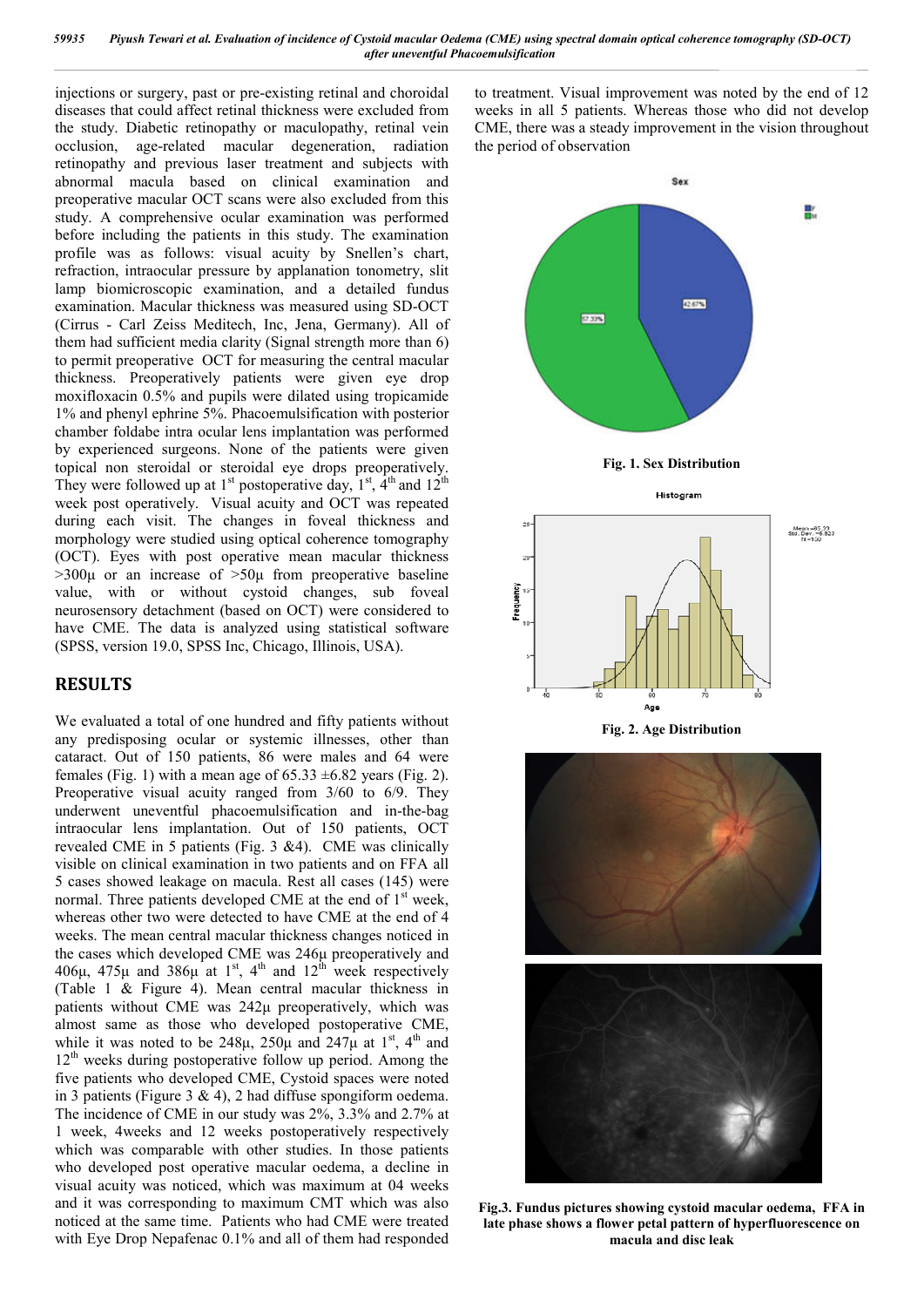*59935 Piyush Tewari et al. Evaluation of incidence of Cystoid macular Oedema (CME) using spectral domain optical coherence tomography (SD-OCT) after uneventful Phacoemulsification*

injections or surgery, past or pre-existing retinal and choroidal diseases that could affect retinal thickness were excluded from the study. Diabetic retinopathy or maculopathy, retinal vein occlusion, age-related macular degeneration, radiation retinopathy and previous laser treatment and subjects with abnormal macula based on clinical examination and preoperative macular OCT scans were also excluded from this study. A comprehensive ocular examination was performed before including the patients in this study. The examination profile was as follows: visual acuity by Snellen's chart, refraction, intraocular pressure by applanation tonometry, slit lamp biomicroscopic examination, and a detailed fundus examination. Macular thickness was measured using SD-OCT (Cirrus - Carl Zeiss Meditech, Inc, Jena, Germany). All of them had sufficient media clarity (Signal strength more than 6) to permit preoperative OCT for measuring the central macular thickness. Preoperatively patients were given eye drop moxifloxacin 0.5% and pupils were dilated using tropicamide 1% and phenyl ephrine 5%. Phacoemulsification with posterior chamber foldabe intra ocular lens implantation was performed by experienced surgeons. None of the patients were given topical non steroidal or steroidal eye drops preoperatively. They were followed up at 1<sup>st</sup> postoperative day,  $1^{st}$ ,  $4^{th}$  and  $12^{th}$ week post operatively. Visual acuity and OCT was repeated during each visit. The changes in foveal thickness and morphology were studied using optical coherence tomography (OCT). Eyes with post operative mean macular thickness  $>300\mu$  or an increase of  $>50\mu$  from preoperative baseline value, with or without cystoid changes, sub foveal neurosensory detachment (based on OCT) were considered to have CME. The data is analyzed using statistical software (SPSS, version 19.0, SPSS Inc, Chicago, Illinois, USA).

#### **RESULTS**

We evaluated a total of one hundred and fifty patients without any predisposing ocular or systemic illnesses, other than cataract. Out of 150 patients, 86 were males and 64 were females (Fig. 1) with a mean age of  $65.33 \pm 6.82$  years (Fig. 2). Preoperative visual acuity ranged from  $3/60$  to 6/9. They underwent uneventful phacoemulsification and in-the-bag intraocular lens implantation. Out of 150 patients, OCT revealed CME in 5 patients (Fig. 3 &4). CME was clinically visible on clinical examination in two patients and on FFA all 5 cases showed leakage on macula. Rest all cases (145) were normal. Three patients developed CME at the end of  $1<sup>st</sup>$  week, whereas other two were detected to have CME at the end of 4 weeks. The mean central macular thickness changes noticed in the cases which developed CME was 246μ preoperatively and 406μ, 475μ and 386μ at 1<sup>st</sup>, 4<sup>th</sup> and 12<sup>th</sup> week respectively (Table 1 & Figure 4). Mean central macular thickness in patients without CME was 242μ preoperatively, which was almost same as those who developed postoperative CME, while it was noted to be  $248\mu$ ,  $250\mu$  and  $247\mu$  at  $1^{st}$ ,  $4^{th}$  and  $12<sup>th</sup>$  weeks during postoperative follow up period. Among the five patients who developed CME, Cystoid spaces were noted in 3 patients (Figure 3  $\&$  4), 2 had diffuse spongiform oedema. The incidence of CME in our study was 2%, 3.3% and 2.7% at 1 week, 4weeks and 12 weeks postoperatively respectively which was comparable with other studies. In those patients who developed post operative macular oedema, a decline in visual acuity was noticed, which was maximum at 04 weeks and it was corresponding to maximum CMT which was also noticed at the same time. Patients who had CME were treated with Eye Drop Nepafenac 0.1% and all of them had responded

to treatment. Visual improvement was noted by the end of 12 weeks in all 5 patients. Whereas those who did not develop CME, there was a steady improvement in the vision throughout the period of observation



**Fig.3. Fundus pictures showing cystoid macular oedema, FFA in late phase shows a flower petal pattern of hyperfluorescence on macula and disc leak**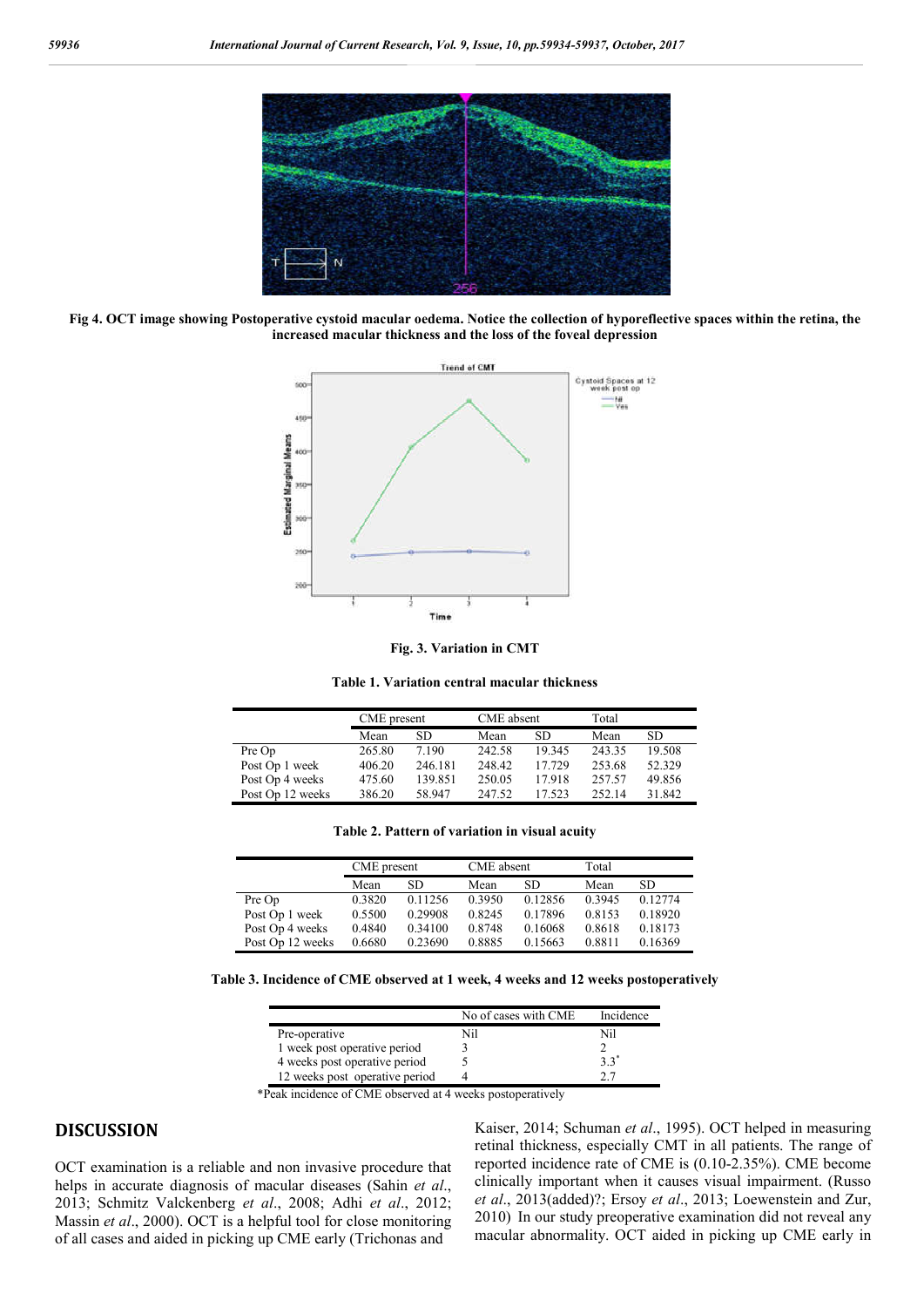

**Fig 4. OCT image showing Postoperative cystoid macular oedema. Notice the collection of hyporeflective spaces within the retina, the increased macular thickness and the loss of the foveal depression**



**Fig. 3. Variation in CMT**

**Table 1. Variation central macular thickness**

|                  | CME present |         | CME absent |        | Total  |        |
|------------------|-------------|---------|------------|--------|--------|--------|
|                  | Mean        | SD.     | Mean       | SD     | Mean   | SD.    |
| Pre Op           | 265.80      | 7.190   | 242.58     | 19.345 | 243.35 | 19.508 |
| Post Op 1 week   | 406.20      | 246.181 | 248.42     | 17 729 | 253.68 | 52.329 |
| Post Op 4 weeks  | 475.60      | 139.851 | 250.05     | 17.918 | 257.57 | 49.856 |
| Post Op 12 weeks | 386.20      | 58.947  | 247.52     | 17.523 | 252.14 | 31.842 |

| Table 2. Pattern of variation in visual acuity |  |  |  |  |  |  |  |  |  |  |
|------------------------------------------------|--|--|--|--|--|--|--|--|--|--|
|------------------------------------------------|--|--|--|--|--|--|--|--|--|--|

|                  | CME present |         |        | CME absent |        | Total   |  |
|------------------|-------------|---------|--------|------------|--------|---------|--|
|                  | Mean        | SD.     | Mean   | SD         | Mean   | SD      |  |
| Pre Op           | 0.3820      | 0.11256 | 0.3950 | 0.12856    | 0.3945 | 0.12774 |  |
| Post Op 1 week   | 0.5500      | 0.29908 | 0.8245 | 0.17896    | 0.8153 | 0.18920 |  |
| Post Op 4 weeks  | 0.4840      | 0.34100 | 0.8748 | 0.16068    | 0.8618 | 0.18173 |  |
| Post Op 12 weeks | 0.6680      | 0.23690 | 0.8885 | 0.15663    | 0.8811 | 0.16369 |  |

**Table 3. Incidence of CME observed at 1 week, 4 weeks and 12 weeks postoperatively**

|                                | No of cases with CME | Incidence |
|--------------------------------|----------------------|-----------|
| Pre-operative                  | Nil                  | Nil       |
| 1 week post operative period   |                      |           |
| 4 weeks post operative period  |                      | 3.3       |
| 12 weeks post operative period |                      |           |

\*Peak incidence of CME observed at 4 weeks postoperatively

### **DISCUSSION**

OCT examination is a reliable and non invasive procedure that helps in accurate diagnosis of macular diseases (Sahin *et al*., 2013; Schmitz Valckenberg *et al*., 2008; Adhi *et al*., 2012; Massin *et al*., 2000). OCT is a helpful tool for close monitoring of all cases and aided in picking up CME early (Trichonas and

Kaiser, 2014; Schuman *et al*., 1995). OCT helped in measuring retinal thickness, especially CMT in all patients. The range of reported incidence rate of CME is (0.10-2.35%). CME become clinically important when it causes visual impairment. (Russo *et al*., 2013(added)?; Ersoy *et al*., 2013; Loewenstein and Zur, 2010) In our study preoperative examination did not reveal any macular abnormality. OCT aided in picking up CME early in